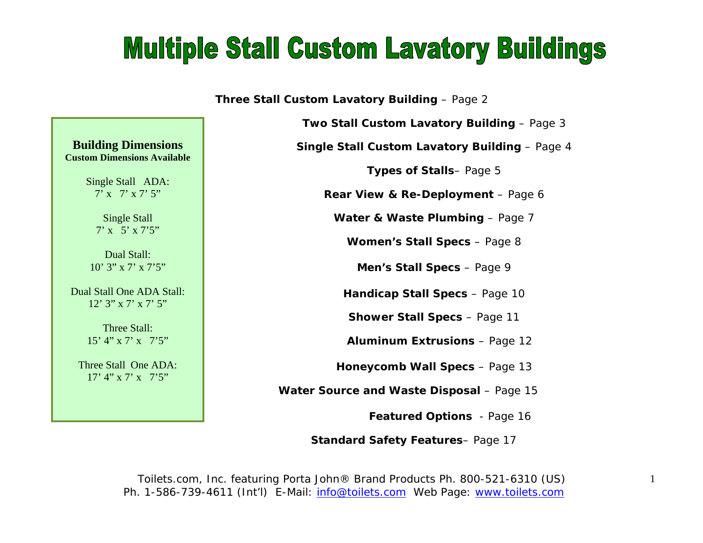## **Multiple Stall Custom Lavatory Buildings**

**Three Stall Custom Lavatory Building - Page 2** 

**Two Stall Custom Lavatory Building** – Page 3

**Single Stall Custom Lavatory Building** – Page 4

**Types of Stalls**– Page 5

**Rear View & Re-Deployment** – Page 6

**Water & Waste Plumbing - Page 7** 

**Women's Stall Specs** – Page 8

**Men's Stall Specs** – Page 9

**Handicap Stall Specs** – Page 10

**Shower Stall Specs** – Page 11

 **Aluminum Extrusions** – Page 12

**Honeycomb Wall Specs** – Page 13

 **Water Source and Waste Disposal** – Page 15

**Featured Options** - Page 16

 **Standard Safety Features**– Page 17

Toilets.com, Inc. *featuring* Porta John® Brand Products Ph. 800-521-6310 (US) Ph. 1-586-739-4611 (Int'l) E-Mail: info@toilets.com Web Page: www.toilets.com

#### **Building Dimensions Custom Dimensions Available**

Single Stall ADA: 7' x 7' x 7' 5"

> Single Stall 7' x 5' x 7'5"

Dual Stall: 10' 3" x 7' x 7'5"

Dual Stall One ADA Stall: 12' 3" x 7' x 7' 5"

> Three Stall: 15' 4" x 7' x 7'5"

Three Stall One ADA:  $17'$  4" x 7' x 7'5"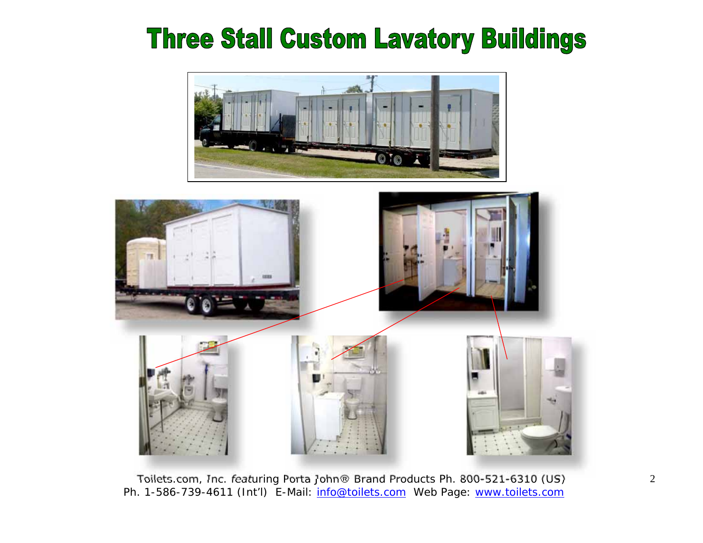## **Three Stall Custom Lavatory Buildings**



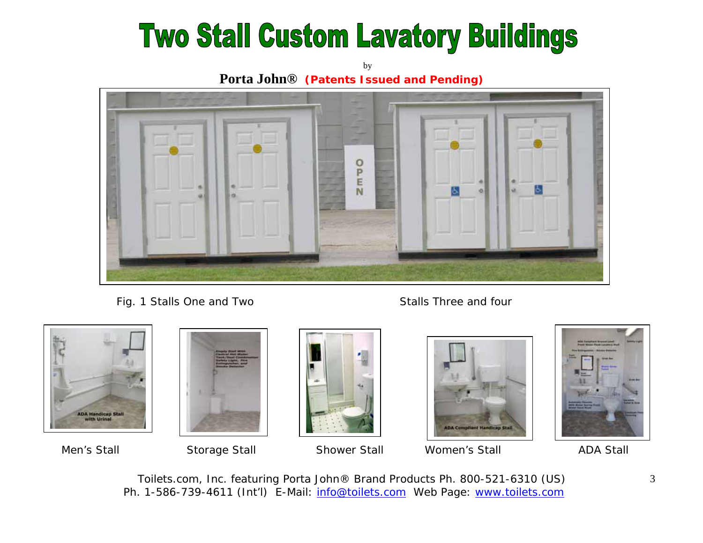# **Two Stall Custom Lavatory Buildings**

by **Porta John® (Patents Issued and Pending)**



Fig. 1 Stalls One and Two Stalls Three and four









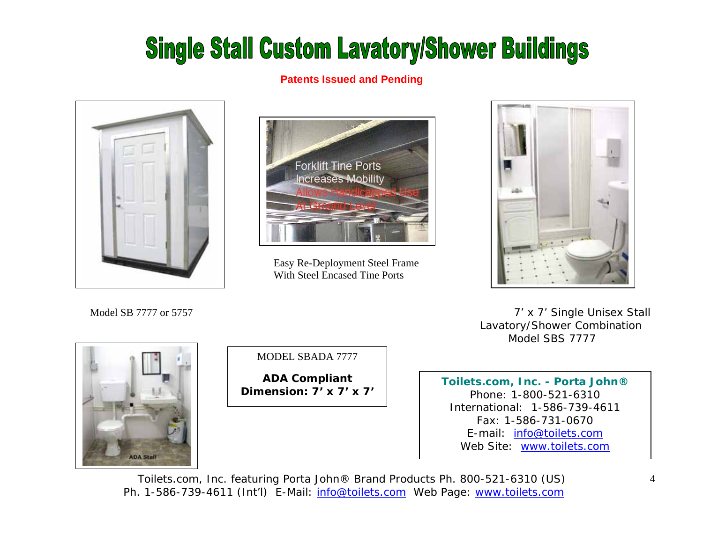## **Single Stall Custom Lavatory/Shower Buildings**

#### **Patents Issued and Pending**





 Easy Re-Deployment Steel Frame With Steel Encased Tine Ports



 7' x 7' Single Unisex Stall Lavatory/Shower Combination Model SBS 7777



Model SB 7777 or 5757

MODEL SBADA 7777

**ADA Compliant Dimension: 7' x 7' x 7'** 

**Toilets.com, Inc. - Porta John®**  Phone: 1-800-521-6310 International: 1-586-739-4611 Fax: 1-586-731-0670 E-mail: info@toilets.comWeb Site: www.toilets.com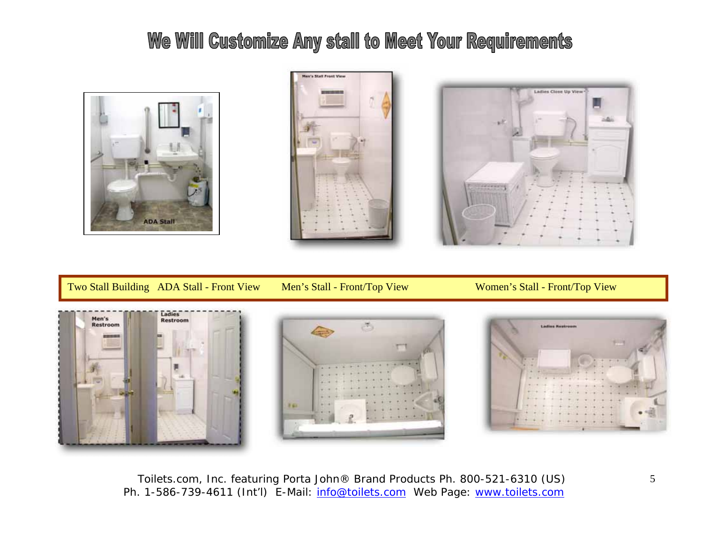### We Will Customize Any stall to Meet Your Requirements







Two Stall Building ADA Stall - Front View Men's Stall - Front/Top View Women's Stall - Front/Top View

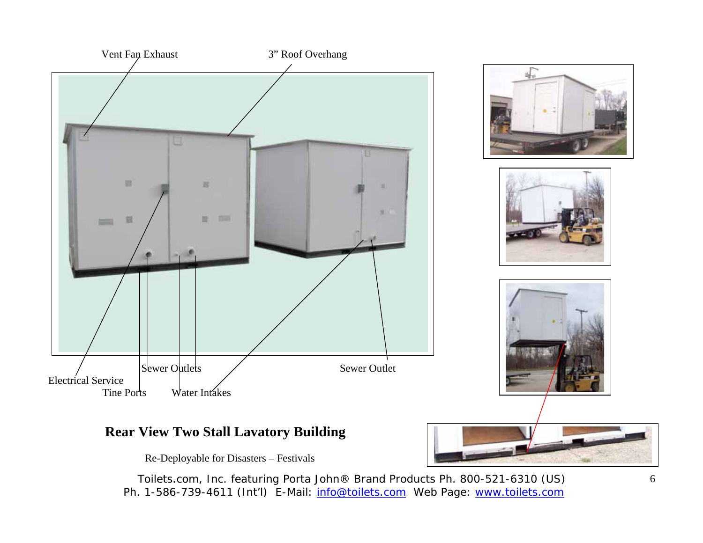

#### **Rear View Two Stall Lavatory Building**

Re-Deployable for Disasters – Festivals

Toilets.com, Inc. *featuring* Porta John® Brand Products Ph. 800-521-6310 (US) Ph. 1-586-739-4611 (Int'l) E-Mail: info@toilets.com Web Page: www.toilets.com



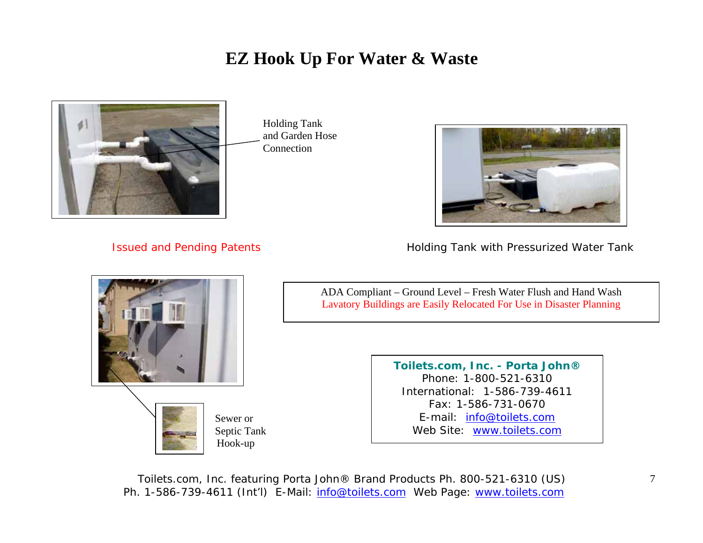### **EZ Hook Up For Water & Waste**



 Holding Tank and Garden Hose Connection



Issued and Pending Patents **Holding Tank with Pressurized Water Tank** 



 Sewer or Septic Tank Hook-up

ADA Compliant – Ground Level – Fresh Water Flush and Hand Wash Lavatory Buildings are Easily Relocated For Use in Disaster Planning

> **Toilets.com, Inc. - Porta John®**  Phone: 1-800-521-6310 International: 1-586-739-4611 Fax: 1-586-731-0670 E-mail: <u>info@toilets.com</u> Web Site: www.toilets.com

Toilets.com, Inc. *featuring* Porta John® Brand Products Ph. 800-521-6310 (US) Ph. 1-586-739-4611 (Int'l) E-Mail: info@toilets.com Web Page: www.toilets.com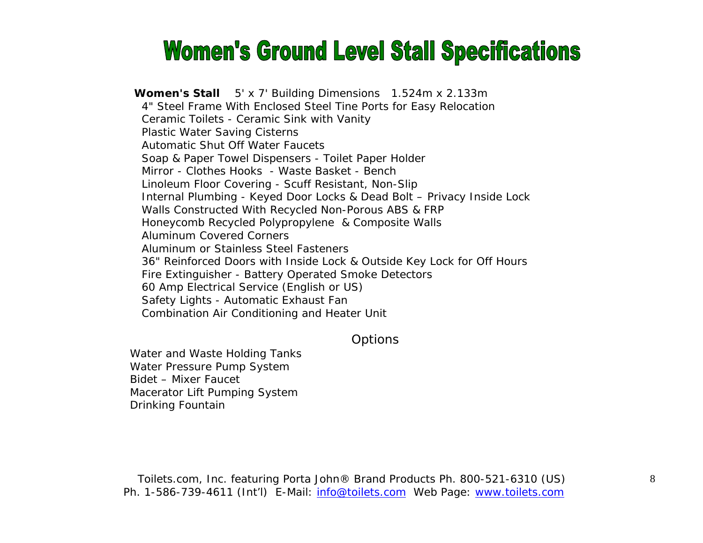### **Women's Ground Level Stall Specifications**

**Women's Stall** 5' x 7' Building Dimensions 1.524m x 2.133m 4" Steel Frame With Enclosed Steel Tine Ports for Easy Relocation Ceramic Toilets - Ceramic Sink with Vanity Plastic Water Saving Cisterns Automatic Shut Off Water Faucets Soap & Paper Towel Dispensers - Toilet Paper Holder Mirror - Clothes Hooks - Waste Basket - Bench Linoleum Floor Covering - Scuff Resistant, Non-Slip Internal Plumbing - Keyed Door Locks & Dead Bolt – Privacy Inside Lock Walls Constructed With Recycled Non-Porous ABS & FRP Honeycomb Recycled Polypropylene & Composite Walls Aluminum Covered Corners Aluminum or Stainless Steel Fasteners 36" Reinforced Doors with Inside Lock & Outside Key Lock for Off Hours Fire Extinguisher - Battery Operated Smoke Detectors 60 Amp Electrical Service (English or US) Safety Lights - Automatic Exhaust Fan Combination Air Conditioning and Heater Unit

#### **Options**

Water and Waste Holding Tanks Water Pressure Pump System Bidet – Mixer Faucet Macerator Lift Pumping System Drinking Fountain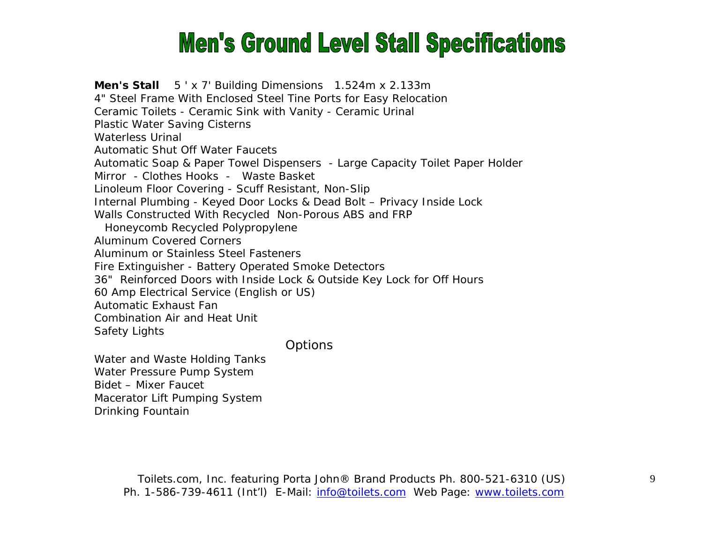## **Men's Ground Level Stall Specifications**

**Men's Stall** 5 ' x 7' Building Dimensions 1.524m x 2.133m 4" Steel Frame With Enclosed Steel Tine Ports for Easy Relocation Ceramic Toilets - Ceramic Sink with Vanity - Ceramic Urinal Plastic Water Saving Cisterns Waterless Urinal Automatic Shut Off Water Faucets Automatic Soap & Paper Towel Dispensers - Large Capacity Toilet Paper Holder Mirror - Clothes Hooks - Waste Basket Linoleum Floor Covering - Scuff Resistant, Non-Slip Internal Plumbing - Keyed Door Locks & Dead Bolt – Privacy Inside Lock Walls Constructed With Recycled Non-Porous ABS and FRP Honeycomb Recycled Polypropylene Aluminum Covered Corners Aluminum or Stainless Steel Fasteners Fire Extinguisher - Battery Operated Smoke Detectors 36" Reinforced Doors with Inside Lock & Outside Key Lock for Off Hours 60 Amp Electrical Service (English or US) Automatic Exhaust Fan Combination Air and Heat Unit Safety Lights

**Options** 

Water and Waste Holding Tanks Water Pressure Pump System Bidet – Mixer Faucet Macerator Lift Pumping System Drinking Fountain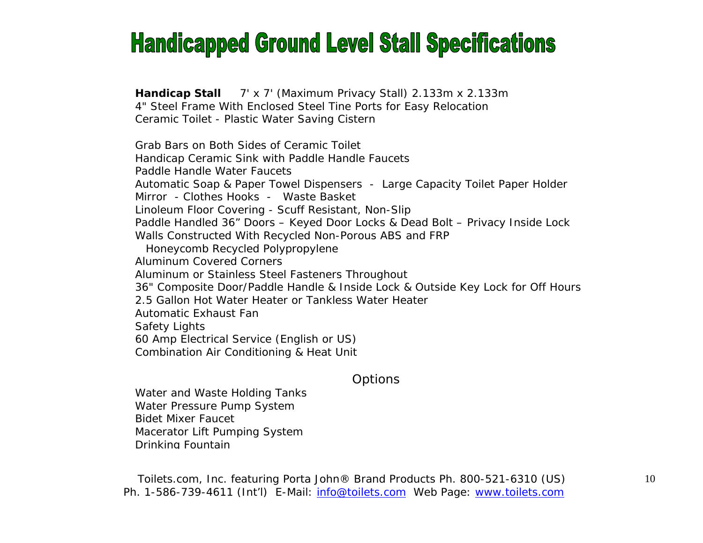### **Handicapped Ground Level Stall Specifications**

**Handicap Stall** 7' x 7' (Maximum Privacy Stall) 2.133m x 2.133m 4" Steel Frame With Enclosed Steel Tine Ports for Easy Relocation Ceramic Toilet - Plastic Water Saving Cistern

Grab Bars on Both Sides of Ceramic Toilet Handicap Ceramic Sink with Paddle Handle Faucets Paddle Handle Water Faucets Automatic Soap & Paper Towel Dispensers - Large Capacity Toilet Paper Holder Mirror - Clothes Hooks - Waste Basket Linoleum Floor Covering - Scuff Resistant, Non-Slip Paddle Handled 36" Doors – Keyed Door Locks & Dead Bolt – Privacy Inside Lock Walls Constructed With Recycled Non-Porous ABS and FRP Honeycomb Recycled Polypropylene Aluminum Covered Corners Aluminum or Stainless Steel Fasteners Throughout 36" Composite Door/Paddle Handle & Inside Lock & Outside Key Lock for Off Hours 2.5 Gallon Hot Water Heater or Tankless Water Heater Automatic Exhaust Fan Safety Lights 60 Amp Electrical Service (English or US) Combination Air Conditioning & Heat Unit

#### **Options**

Water and Waste Holding Tanks Water Pressure Pump System Bidet Mixer Faucet Macerator Lift Pumping System Drinking Fountain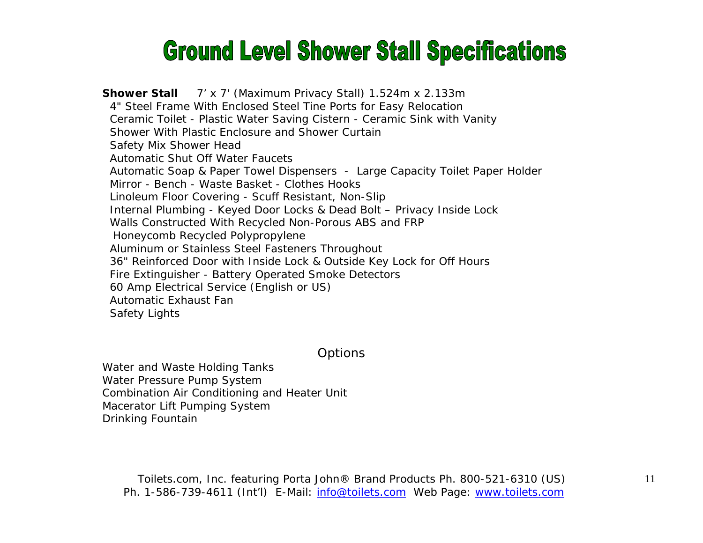## **Ground Level Shower Stall Specifications**

**Shower Stall** 7' x 7' (Maximum Privacy Stall) 1.524m x 2.133m 4" Steel Frame With Enclosed Steel Tine Ports for Easy Relocation Ceramic Toilet - Plastic Water Saving Cistern - Ceramic Sink with Vanity Shower With Plastic Enclosure and Shower Curtain Safety Mix Shower Head Automatic Shut Off Water Faucets Automatic Soap & Paper Towel Dispensers - Large Capacity Toilet Paper Holder Mirror - Bench - Waste Basket - Clothes Hooks Linoleum Floor Covering - Scuff Resistant, Non-Slip Internal Plumbing - Keyed Door Locks & Dead Bolt – Privacy Inside Lock Walls Constructed With Recycled Non-Porous ABS and FRP Honeycomb Recycled Polypropylene Aluminum or Stainless Steel Fasteners Throughout 36" Reinforced Door with Inside Lock & Outside Key Lock for Off Hours Fire Extinguisher - Battery Operated Smoke Detectors 60 Amp Electrical Service (English or US) Automatic Exhaust Fan Safety Lights

**Options** 

Water and Waste Holding Tanks Water Pressure Pump System Combination Air Conditioning and Heater Unit Macerator Lift Pumping System Drinking Fountain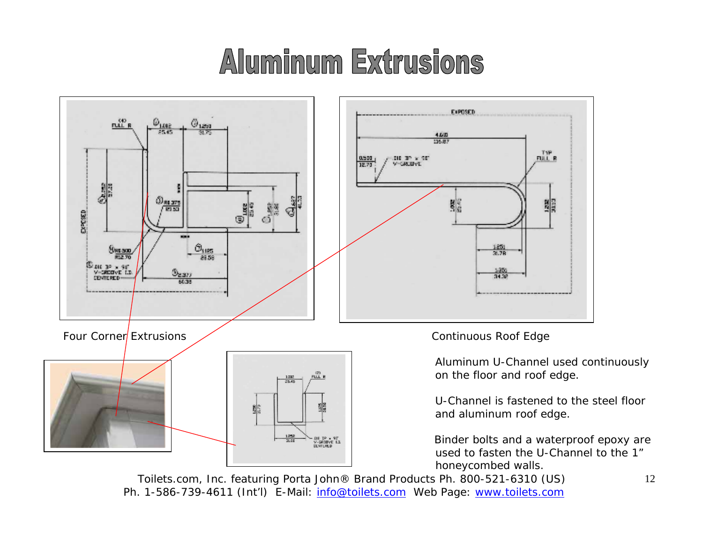# Aluminum Extrusions



Toilets.com, Inc. *featuring* Porta John® Brand Products Ph. 800-521-6310 (US) Ph. 1-586-739-4611 (Int'l) E-Mail: info@toilets.com Web Page: www.toilets.com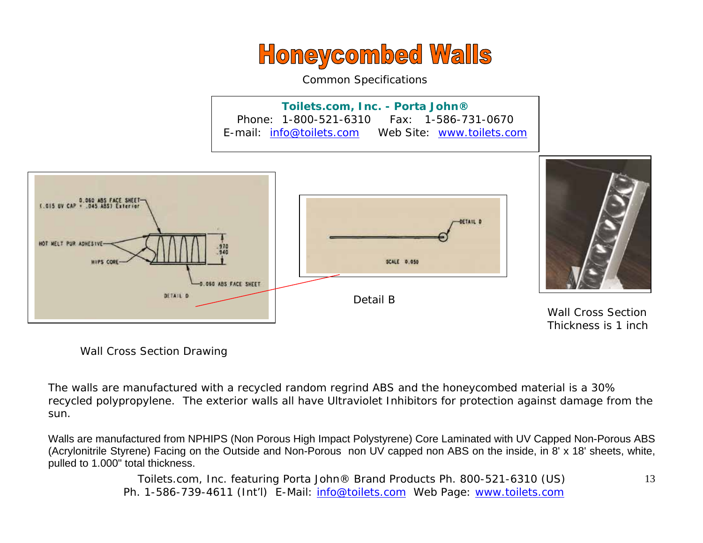

Common Specifications

**Toilets.com, Inc. - Porta John®**  Phone: 1-800-521-6310 Fax: 1-586-731-0670 E-mail: info@toilets.com Web Site: www.toilets.com



Wall Cross Section Drawing

The walls are manufactured with a recycled random regrind ABS and the honeycombed material is a 30% recycled polypropylene. The exterior walls all have Ultraviolet Inhibitors for protection against damage from the sun.

Walls are manufactured from NPHIPS (Non Porous High Impact Polystyrene) Core Laminated with UV Capped Non-Porous ABS (Acrylonitrile Styrene) Facing on the Outside and Non-Porous non UV capped non ABS on the inside, in 8' x 18' sheets, white, pulled to 1.000" total thickness.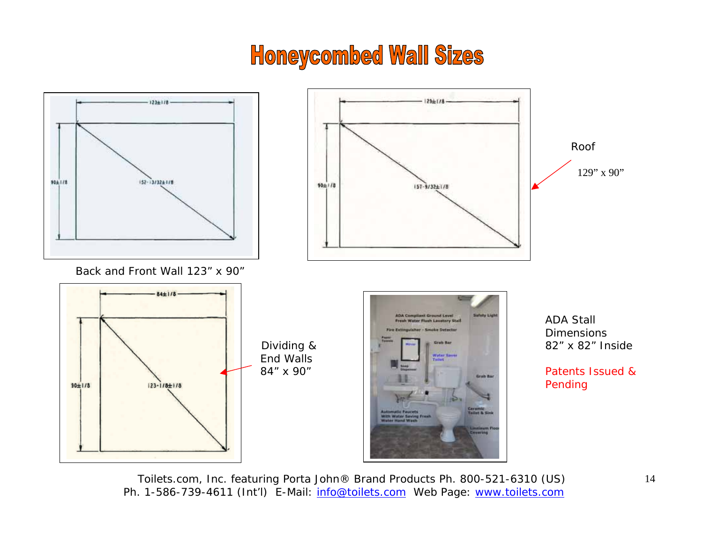### **Honeycombed Wall Sizes**

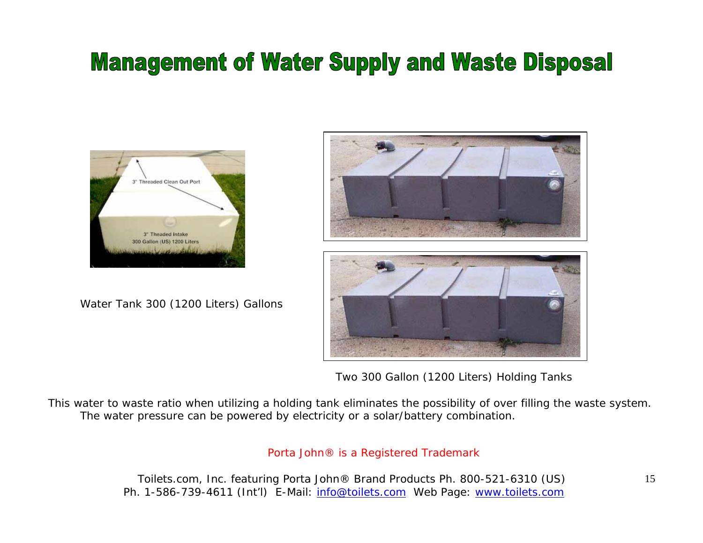### **Management of Water Supply and Waste Disposal**



Water Tank 300 (1200 Liters) Gallons



Two 300 Gallon (1200 Liters) Holding Tanks

This water to waste ratio when utilizing a holding tank eliminates the possibility of over filling the waste system. The water pressure can be powered by electricity or a solar/battery combination.

#### Porta John® is a Registered Trademark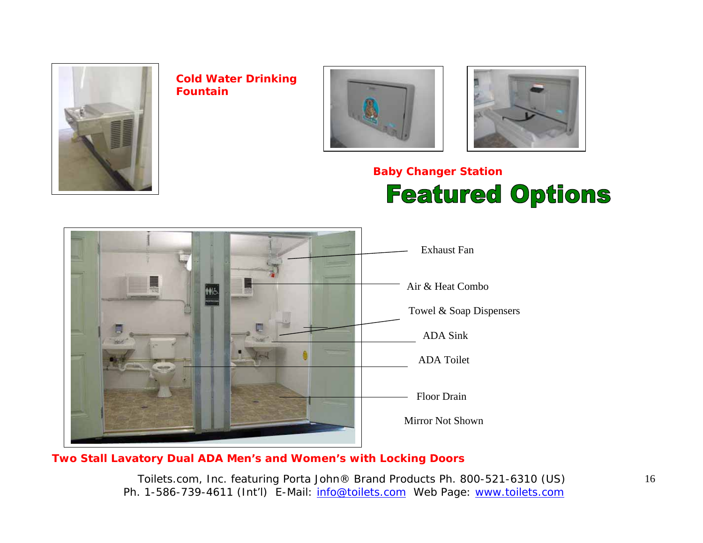

**Cold Water Drinking q Fountain**





### **Baby Changer Station Featured Options**



#### **Two Stall Lavatory Dual ADA Men's and Women's with Locking Doors**